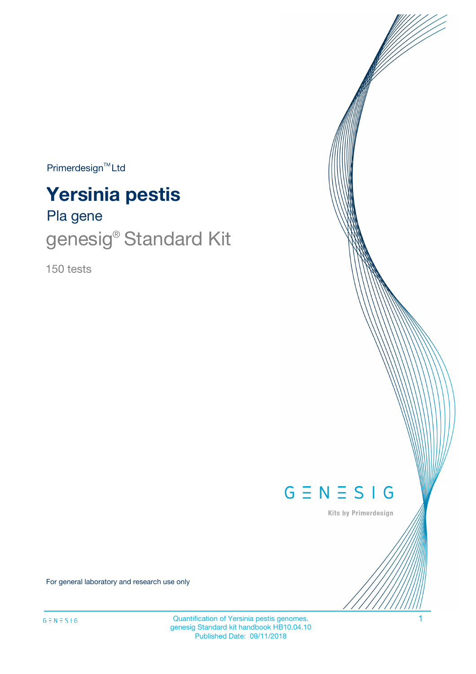$Primerdesign^{\text{TM}}Ltd$ 

# **Yersinia pestis**

# Pla gene genesig<sup>®</sup> Standard Kit

150 tests



Kits by Primerdesign

For general laboratory and research use only

Quantification of Yersinia pestis genomes. 1 genesig Standard kit handbook HB10.04.10 Published Date: 09/11/2018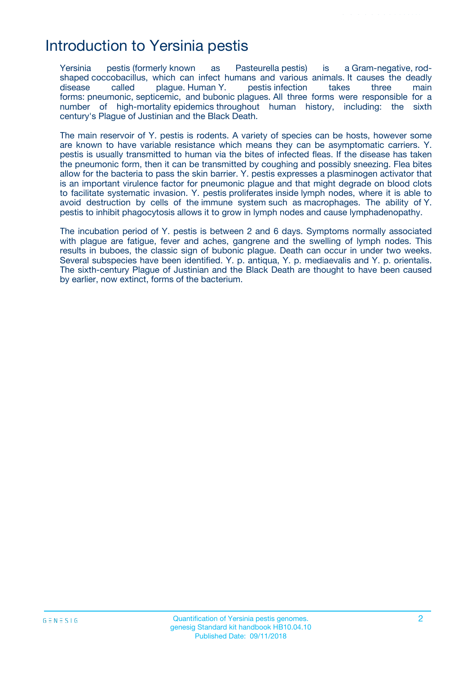## Introduction to Yersinia pestis

Yersinia pestis (formerly known as Pasteurella pestis) is a Gram-negative, rodshaped coccobacillus, which can infect humans and various animals. It causes the deadly disease called plague. Human Y. pestis infection takes three main forms: pneumonic, septicemic, and bubonic plagues. All three forms were responsible for a number of high-mortality epidemics throughout human history, including: the sixth century's Plague of Justinian and the Black Death.

The main reservoir of Y. pestis is rodents. A variety of species can be hosts, however some are known to have variable resistance which means they can be asymptomatic carriers. Y. pestis is usually transmitted to human via the bites of infected fleas. If the disease has taken the pneumonic form, then it can be transmitted by coughing and possibly sneezing. Flea bites allow for the bacteria to pass the skin barrier. Y. pestis expresses a plasminogen activator that is an important virulence factor for pneumonic plague and that might degrade on blood clots to facilitate systematic invasion. Y. pestis proliferates inside lymph nodes, where it is able to avoid destruction by cells of the immune system such as macrophages. The ability of Y. pestis to inhibit phagocytosis allows it to grow in lymph nodes and cause lymphadenopathy.

The incubation period of Y. pestis is between 2 and 6 days. Symptoms normally associated with plague are fatigue, fever and aches, gangrene and the swelling of lymph nodes. This results in buboes, the classic sign of bubonic plague. Death can occur in under two weeks. Several subspecies have been identified. Y. p. antiqua, Y. p. mediaevalis and Y. p. orientalis. The sixth-century Plague of Justinian and the Black Death are thought to have been caused by earlier, now extinct, forms of the bacterium.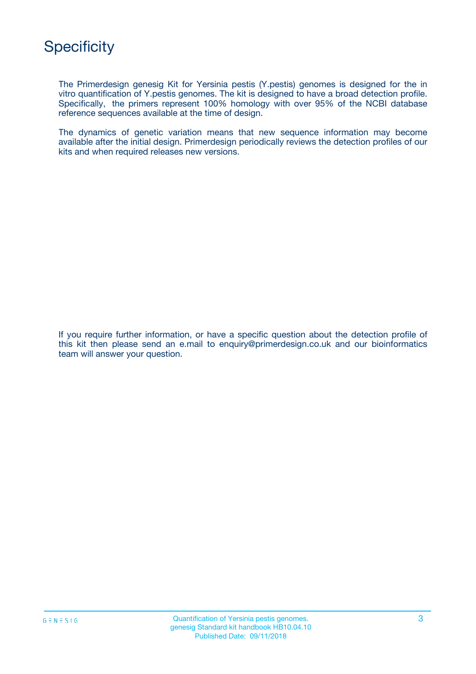The Primerdesign genesig Kit for Yersinia pestis (Y.pestis) genomes is designed for the in vitro quantification of Y.pestis genomes. The kit is designed to have a broad detection profile. Specifically, the primers represent 100% homology with over 95% of the NCBI database reference sequences available at the time of design.

The dynamics of genetic variation means that new sequence information may become available after the initial design. Primerdesign periodically reviews the detection profiles of our kits and when required releases new versions.

If you require further information, or have a specific question about the detection profile of this kit then please send an e.mail to enquiry@primerdesign.co.uk and our bioinformatics team will answer your question.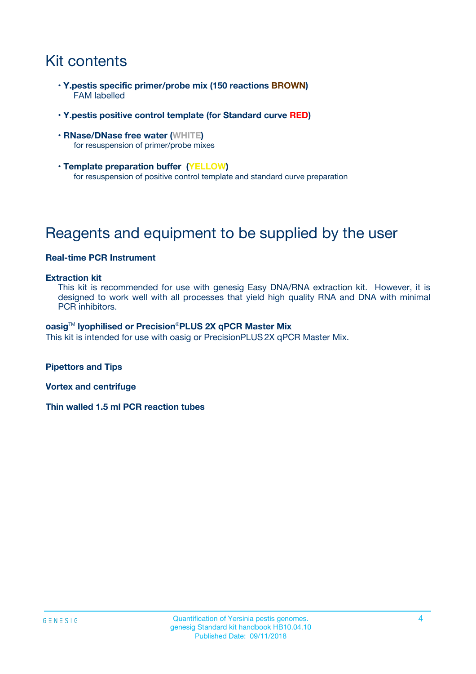# Kit contents

- **Y.pestis specific primer/probe mix (150 reactions BROWN)** FAM labelled
- **Y.pestis positive control template (for Standard curve RED)**
- **RNase/DNase free water (WHITE)** for resuspension of primer/probe mixes
- **Template preparation buffer (YELLOW)** for resuspension of positive control template and standard curve preparation

# Reagents and equipment to be supplied by the user

#### **Real-time PCR Instrument**

#### **Extraction kit**

This kit is recommended for use with genesig Easy DNA/RNA extraction kit. However, it is designed to work well with all processes that yield high quality RNA and DNA with minimal PCR inhibitors.

#### **oasig**TM **lyophilised or Precision**®**PLUS 2X qPCR Master Mix**

This kit is intended for use with oasig or PrecisionPLUS2X qPCR Master Mix.

**Pipettors and Tips**

**Vortex and centrifuge**

**Thin walled 1.5 ml PCR reaction tubes**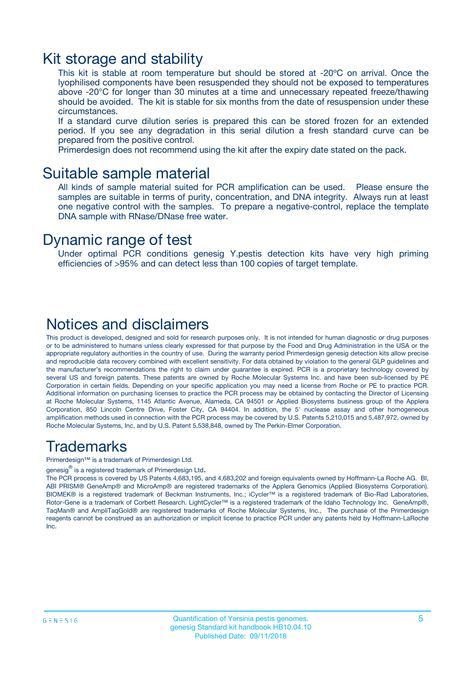### Kit storage and stability

This kit is stable at room temperature but should be stored at -20ºC on arrival. Once the lyophilised components have been resuspended they should not be exposed to temperatures above -20°C for longer than 30 minutes at a time and unnecessary repeated freeze/thawing should be avoided. The kit is stable for six months from the date of resuspension under these circumstances.

If a standard curve dilution series is prepared this can be stored frozen for an extended period. If you see any degradation in this serial dilution a fresh standard curve can be prepared from the positive control.

Primerdesign does not recommend using the kit after the expiry date stated on the pack.

### Suitable sample material

All kinds of sample material suited for PCR amplification can be used. Please ensure the samples are suitable in terms of purity, concentration, and DNA integrity. Always run at least one negative control with the samples. To prepare a negative-control, replace the template DNA sample with RNase/DNase free water.

### Dynamic range of test

Under optimal PCR conditions genesig Y.pestis detection kits have very high priming efficiencies of >95% and can detect less than 100 copies of target template.

### Notices and disclaimers

This product is developed, designed and sold for research purposes only. It is not intended for human diagnostic or drug purposes or to be administered to humans unless clearly expressed for that purpose by the Food and Drug Administration in the USA or the appropriate regulatory authorities in the country of use. During the warranty period Primerdesign genesig detection kits allow precise and reproducible data recovery combined with excellent sensitivity. For data obtained by violation to the general GLP guidelines and the manufacturer's recommendations the right to claim under guarantee is expired. PCR is a proprietary technology covered by several US and foreign patents. These patents are owned by Roche Molecular Systems Inc. and have been sub-licensed by PE Corporation in certain fields. Depending on your specific application you may need a license from Roche or PE to practice PCR. Additional information on purchasing licenses to practice the PCR process may be obtained by contacting the Director of Licensing at Roche Molecular Systems, 1145 Atlantic Avenue, Alameda, CA 94501 or Applied Biosystems business group of the Applera Corporation, 850 Lincoln Centre Drive, Foster City, CA 94404. In addition, the 5' nuclease assay and other homogeneous amplification methods used in connection with the PCR process may be covered by U.S. Patents 5,210,015 and 5,487,972, owned by Roche Molecular Systems, Inc, and by U.S. Patent 5,538,848, owned by The Perkin-Elmer Corporation.

### Trademarks

Primerdesign™ is a trademark of Primerdesign Ltd.

genesig $^\circledR$  is a registered trademark of Primerdesign Ltd.

The PCR process is covered by US Patents 4,683,195, and 4,683,202 and foreign equivalents owned by Hoffmann-La Roche AG. BI, ABI PRISM® GeneAmp® and MicroAmp® are registered trademarks of the Applera Genomics (Applied Biosystems Corporation). BIOMEK® is a registered trademark of Beckman Instruments, Inc.; iCycler™ is a registered trademark of Bio-Rad Laboratories, Rotor-Gene is a trademark of Corbett Research. LightCycler™ is a registered trademark of the Idaho Technology Inc. GeneAmp®, TaqMan® and AmpliTaqGold® are registered trademarks of Roche Molecular Systems, Inc., The purchase of the Primerdesign reagents cannot be construed as an authorization or implicit license to practice PCR under any patents held by Hoffmann-LaRoche Inc.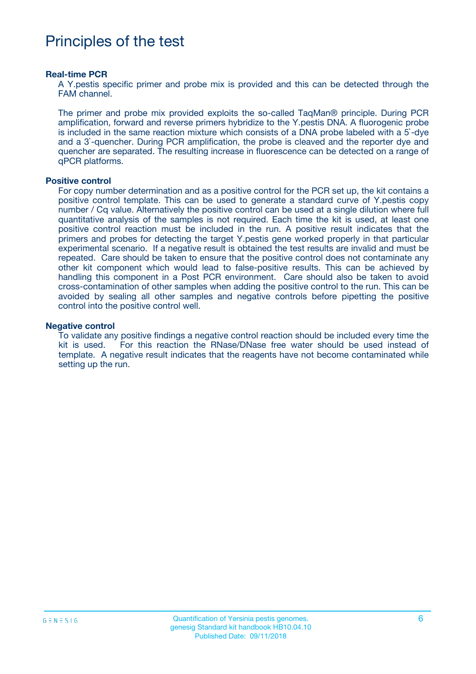## Principles of the test

#### **Real-time PCR**

A Y.pestis specific primer and probe mix is provided and this can be detected through the FAM channel.

The primer and probe mix provided exploits the so-called TaqMan® principle. During PCR amplification, forward and reverse primers hybridize to the Y.pestis DNA. A fluorogenic probe is included in the same reaction mixture which consists of a DNA probe labeled with a 5`-dye and a 3`-quencher. During PCR amplification, the probe is cleaved and the reporter dye and quencher are separated. The resulting increase in fluorescence can be detected on a range of qPCR platforms.

#### **Positive control**

For copy number determination and as a positive control for the PCR set up, the kit contains a positive control template. This can be used to generate a standard curve of Y.pestis copy number / Cq value. Alternatively the positive control can be used at a single dilution where full quantitative analysis of the samples is not required. Each time the kit is used, at least one positive control reaction must be included in the run. A positive result indicates that the primers and probes for detecting the target Y.pestis gene worked properly in that particular experimental scenario. If a negative result is obtained the test results are invalid and must be repeated. Care should be taken to ensure that the positive control does not contaminate any other kit component which would lead to false-positive results. This can be achieved by handling this component in a Post PCR environment. Care should also be taken to avoid cross-contamination of other samples when adding the positive control to the run. This can be avoided by sealing all other samples and negative controls before pipetting the positive control into the positive control well.

#### **Negative control**

To validate any positive findings a negative control reaction should be included every time the kit is used. For this reaction the RNase/DNase free water should be used instead of template. A negative result indicates that the reagents have not become contaminated while setting up the run.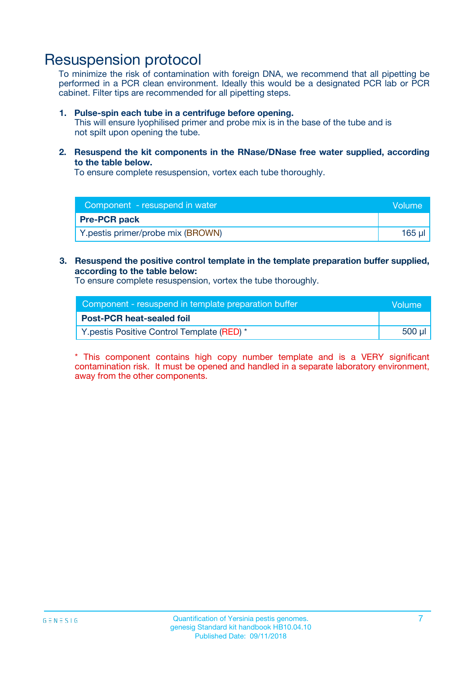## Resuspension protocol

To minimize the risk of contamination with foreign DNA, we recommend that all pipetting be performed in a PCR clean environment. Ideally this would be a designated PCR lab or PCR cabinet. Filter tips are recommended for all pipetting steps.

#### **1. Pulse-spin each tube in a centrifuge before opening.**

This will ensure lyophilised primer and probe mix is in the base of the tube and is not spilt upon opening the tube.

**2. Resuspend the kit components in the RNase/DNase free water supplied, according to the table below.**

To ensure complete resuspension, vortex each tube thoroughly.

| Component - resuspend in water    | Volume    |
|-----------------------------------|-----------|
| <b>Pre-PCR pack</b>               |           |
| Y.pestis primer/probe mix (BROWN) | $165 \mu$ |

### **3. Resuspend the positive control template in the template preparation buffer supplied, according to the table below:**

To ensure complete resuspension, vortex the tube thoroughly.

| Component - resuspend in template preparation buffer |        |  |
|------------------------------------------------------|--------|--|
| <b>Post-PCR heat-sealed foil</b>                     |        |  |
| Y.pestis Positive Control Template (RED) *           | 500 µl |  |

\* This component contains high copy number template and is a VERY significant contamination risk. It must be opened and handled in a separate laboratory environment, away from the other components.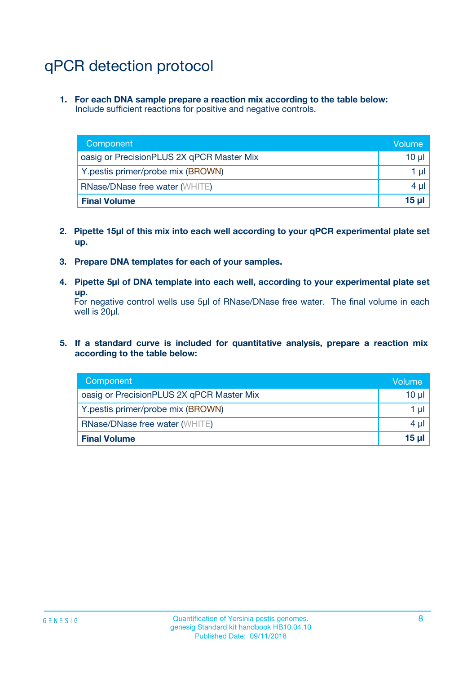# qPCR detection protocol

**1. For each DNA sample prepare a reaction mix according to the table below:** Include sufficient reactions for positive and negative controls.

| Component                                 | Volume           |
|-------------------------------------------|------------------|
| oasig or PrecisionPLUS 2X qPCR Master Mix | 10 $\mu$         |
| Y.pestis primer/probe mix (BROWN)         | 1 $\mu$          |
| <b>RNase/DNase free water (WHITE)</b>     | $4 \mu$          |
| <b>Final Volume</b>                       | 15 <sub>ul</sub> |

- **2. Pipette 15µl of this mix into each well according to your qPCR experimental plate set up.**
- **3. Prepare DNA templates for each of your samples.**
- **4. Pipette 5µl of DNA template into each well, according to your experimental plate set up.**

For negative control wells use 5µl of RNase/DNase free water. The final volume in each well is 20µl.

**5. If a standard curve is included for quantitative analysis, prepare a reaction mix according to the table below:**

| Component                                 | Volume          |
|-------------------------------------------|-----------------|
| oasig or PrecisionPLUS 2X qPCR Master Mix | 10 µl           |
| Y.pestis primer/probe mix (BROWN)         | 1 µI            |
| <b>RNase/DNase free water (WHITE)</b>     | $4 \mu$         |
| <b>Final Volume</b>                       | 15 <sub>µ</sub> |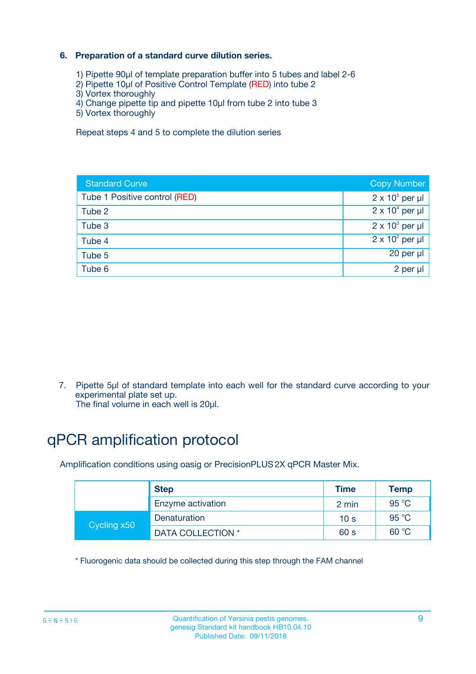### **6. Preparation of a standard curve dilution series.**

- 1) Pipette 90µl of template preparation buffer into 5 tubes and label 2-6
- 2) Pipette 10µl of Positive Control Template (RED) into tube 2
- 3) Vortex thoroughly
- 4) Change pipette tip and pipette 10µl from tube 2 into tube 3
- 5) Vortex thoroughly

Repeat steps 4 and 5 to complete the dilution series

| <b>Standard Curve</b>         | <b>Copy Number</b>     |
|-------------------------------|------------------------|
| Tube 1 Positive control (RED) | $2 \times 10^5$ per µl |
| Tube 2                        | $2 \times 10^4$ per µl |
| Tube 3                        | $2 \times 10^3$ per µl |
| Tube 4                        | $2 \times 10^2$ per µl |
| Tube 5                        | 20 per µl              |
| Tube 6                        | 2 per ul               |

7. Pipette 5µl of standard template into each well for the standard curve according to your experimental plate set up.

The final volume in each well is 20µl.

# qPCR amplification protocol

Amplification conditions using oasig or PrecisionPLUS2X qPCR Master Mix.

|             | <b>Step</b>       | <b>Time</b>     | Temp    |
|-------------|-------------------|-----------------|---------|
|             | Enzyme activation | 2 min           | 95 °C   |
| Cycling x50 | Denaturation      | 10 <sub>s</sub> | 95 $°C$ |
|             | DATA COLLECTION * | 60 s            | 60 °C   |

\* Fluorogenic data should be collected during this step through the FAM channel